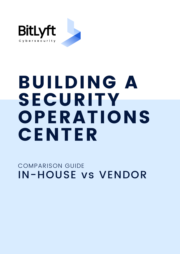

# BUILDING A SECURITY OPERATIONS CENTER

## COMPARISON GUIDE IN-HOUSE vs VENDOR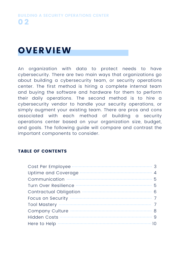## **OVERVIEW**

An organization with data to protect needs to have cybersecurity. There are two main ways that organizations go about building a cybersecurity team, or security operations center. The first method is hiring a complete internal team and buying the software and hardware for them to perform their daily operations. The second method is to hire a cybersecurity vendor to handle your security operations, or simply augment your existing team. There are pros and cons associated with each method of building a security operations center based on your organization size, budget, and goals. The following guide will compare and contrast the important components to consider.

### TABLE OF CONTENTS

| Uptime and Coverage |  |
|---------------------|--|
|                     |  |
|                     |  |
|                     |  |
|                     |  |
|                     |  |
|                     |  |
|                     |  |
|                     |  |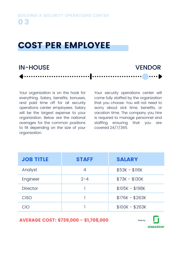## COST PER EMPLOYEE

### IN-HOUSE VENDOR

Your organization is on the hook for everything. Salary, benefits, bonuses, and paid time off for all security operations center employees. Salary will be the largest expense to your organization. Below are the national averages for the common positions to fill depending on the size of your organization.

Your security operations center will come fully staffed by the organization that you choose. You will not need to worry about sick time, benefits, or vacation time. The company you hire is required to manage personnel and staffing ensuring that you are covered 24/7/365.

| <b>JOB TITLE</b> | <b>STAFF</b> | <b>SALARY</b>   |
|------------------|--------------|-----------------|
| Analyst          | 4            | $$53K - $116K$  |
| Engineer         | $2 - 4$      | $$73K - $130K$  |
| <b>Director</b>  |              | $$105K - $198K$ |
| <b>CISO</b>      |              | $$176K - $263K$ |
| CIO              |              | $$100K - $263K$ |

**AVERAGE COST: \$739,000 - \$1,708,000** Data by

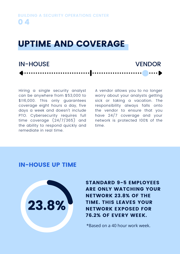## UPTIME AND COVERAGE

. . . . . . . **.** . . . . . . . .

### IN-HOUSE VENDOR

Hiring a single security analyst can be anywhere from \$53,000 to \$116,000. This only guarantees coverage eight hours a day, five days a week and doesn't include PTO. Cybersecurity requires full time coverage (24/7/365) and the ability to respond quickly and remediate in real time.

A vendor allows you to no longer worry about your analysts getting sick or taking a vacation. The responsibility always falls onto the vendor to ensure that you have 24/7 coverage and your network is protected 100% of the time.

### IN-HOUSE UP TIME



STANDARD 9-5 EMPLOYEES ARE ONLY WATCHING YOUR NETWORK 23.8% OF THE TIME. THIS LEAVES YOUR NETWORK EXPOSED FOR 76.2% OF EVERY WEEK.

\*Based on a 40 hour work week.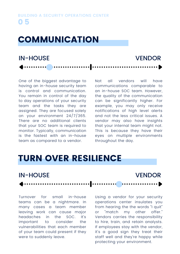## **COMMUNICATION**

### IN-HOUSE VENDOR

One of the biggest advantage to having an in-house security team is control and communication. You remain in control of the day to day operations of your security team and the tasks they are assigned. They are focused solely on your environment 24/7/365. There are no additional clients that your SOC team is required to monitor. Typically, communication is the fastest with an in-house team as compared to a vendor.

Not all vendors will have communications comparable to an in-house SOC team. However, the quality of the communication can be significantly higher. For example, you may only receive notifications of high level alerts and not the less critical issues. A vendor may also have insights that your internal team might not. This is because they have their eyes on multiple environments throughout the day.

## TURN OVER RESILIENCE

### IN-HOUSE VENDOR

Turnover for small in-house teams can be a nightmare. In many cases a team member leaving work can cause major headaches in the SOC. It's important to consider the vulnerabilities that each member of your team could present if they were to suddenly leave.

Using a vendor for your security operations center insulates you from hearing the the words "I quit" or "match my other offer." Vendors carries the responsibility to hire, train, and retain analysts. If employees stay with the vendor, it's a good sign they treat their staff well and they're happy while protecting your environment.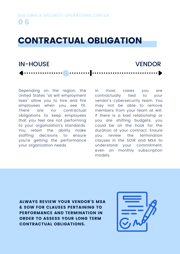## CONTRACTUAL OBLIGATION

### IN-HOUSE VENDOR

. . . . . . . . . . . . . . . . . **.** 

Depending on the region, the United States "at will employment laws" allow you to hire and fire employees when you see fit. There are no contractual obligations to keep employees that you feel are not performing to your organization's standards. You retain the ability make staffing decisions to ensure you're getting the performance your organization needs.

In most cases you are contractually tied to your vendor's cybersecurity team. You may not be able to remove members from your team at will. If there is a bad relationship or you are shifting budgets, you could be on the hook for the duration of your contract. Ensure you review the termination clauses in the SOW and MSA to understand your commitment, even on monthly subscription models.

ALWAYS REVIEW YOUR VENDOR'S MSA & SOW FOR CLAUSES PERTAINING TO PERFORMANCE AND TERMINATION IN ORDER TO ASSESS YOUR LONG TERM CONTRACTUAL OBLIGATIONS.

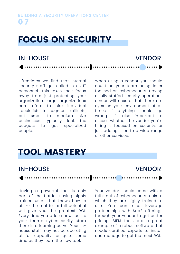## FOCUS ON SECURITY

### IN-HOUSE VENDOR

Oftentimes we find that internal security staff get called in as IT personnel. This takes their focus away from just protecting your organization. Larger organizations can afford to hire individual specialists to segment skillsets, but small to medium size businesses typically lack the budgets to get specialized people.

◀………………………………

When using a vendor you should count on your team being laser focused on cybersecurity. Having a fully staffed security operations center will ensure that there are eyes on your environment at all times if anything should go wrong. It's also important to assess whether the vendor you're hiring is focused on security, or just adding it on to a wide range of other services.

## TOOL MASTERY

### IN-HOUSE VENDOR

Having a powerful tool is only part of the battle. Having highly trained users that knows how to utilize the tool to its full potential will give you the greatest ROI. Every time you add a new tool to your team's cybersecurity stack there is a learning curve. Your inhouse staff may not be operating at full capacity for quite some time as they learn the new tool.

Your vendor should come with a full stack of cybersecurity tools to which they are highly trained to use. You can also leverage partnerships with SaaS offerings through your vendor to get better pricing. SIEM tools are a great example of a robust software that needs certified experts to install and manage to get the most ROI.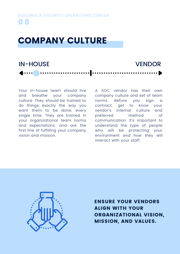## COMPANY CULTURE

 $\color{red} \bullet \color{blue} \bullet \color{blue} \bullet \color{blue} \bullet \color{blue} \bullet \color{blue} \bullet \color{blue} \bullet \color{blue} \bullet \color{blue} \bullet \color{blue} \bullet \color{blue} \bullet \color{blue} \bullet \color{blue} \bullet \color{blue} \bullet \color{blue} \bullet \color{blue} \bullet \color{blue} \bullet \color{blue} \bullet \color{blue} \bullet \color{blue} \bullet \color{blue} \bullet \color{blue} \bullet \color{blue} \bullet \color{blue} \bullet \color{blue} \bullet \color{blue} \bullet \color{blue} \bullet \color{blue} \bullet \color{blue} \bullet \color{blue} \bullet \color{blue} \bullet \color{$ 

### IN-HOUSE VENDOR

. . . . . . . . . . . D

Your in-house team should live and breathe your company culture. They should be trained to do things exactly the way you want them to be done, every single time. They are trained in your organizational team norms and expectations, and are the first line of fulfilling your company vision and mission.

A SOC vendor has their own company culture and set of team norms. Before you sign a contract, get to know your vendor's internal culture and preferred method of communication. It's important to understand the type of people who will be protecting your environment and how they will interact with your staff.



ENSURE YOUR VENDORS ALIGN WITH YOUR ORGANIZATIONAL VISION, MISSION, AND VALUES.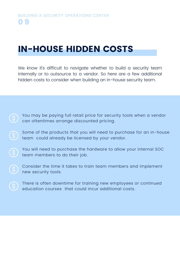## IN-HOUSE HIDDEN COSTS

We know it's difficult to navigate whether to build a security team internally or to outsource to a vendor. So here are a few additional hidden costs to consider when building an in-house security team.

You may be paying full retail price for security tools when a vendor can oftentimes arrange discounted pricing.

Some of the products that you will need to purchase for an in-house team could already be licensed by your vendor.

You will need to purchase the hardware to allow your internal SOC team members to do their job.

Consider the time it takes to train team members and implement new security tools.

There is often downtime for training new employees or continued education courses that could incur additional costs.